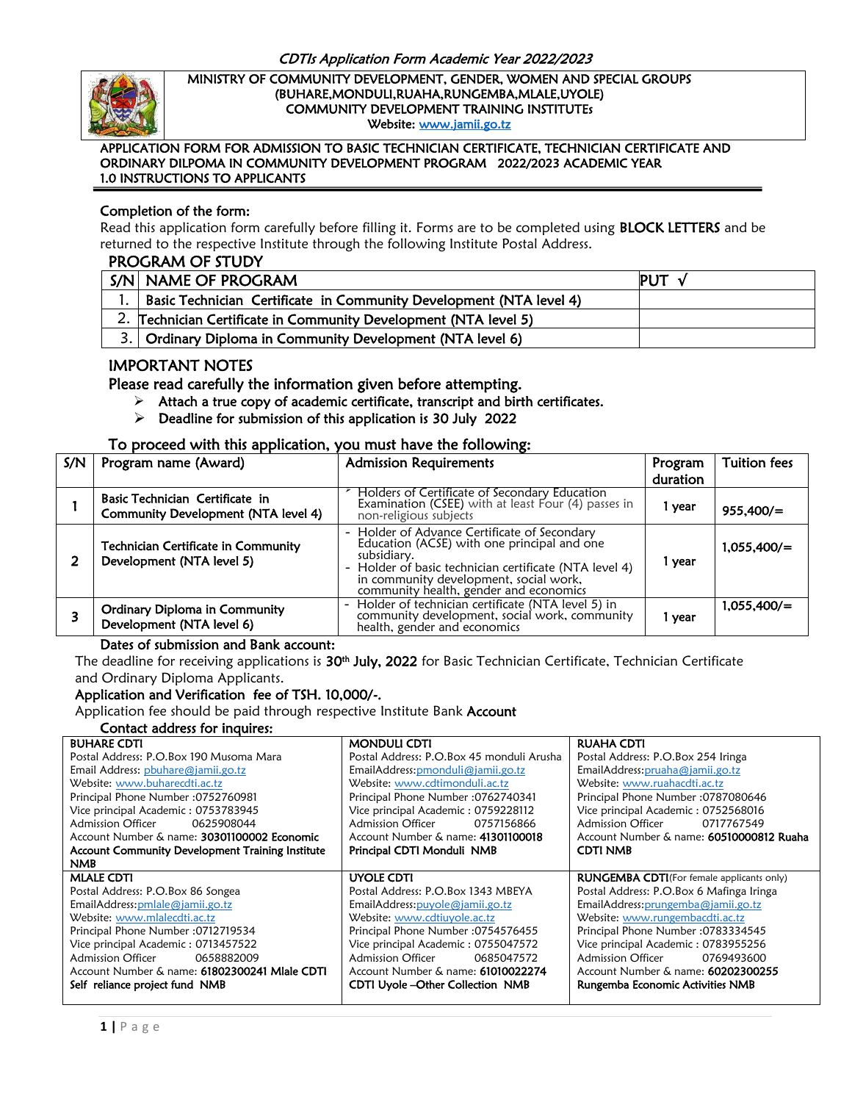

Ī

#### MINISTRY OF COMMUNITY DEVELOPMENT, GENDER, WOMEN AND SPECIAL GROUPS (BUHARE,MONDULI,RUAHA,RUNGEMBA,MLALE,UYOLE) COMMUNITY DEVELOPMENT TRAINING INSTITUTEs Website: [www.jamii.go.tz](http://www.jamii.go.tz/)

#### APPLICATION FORM FOR ADMISSION TO BASIC TECHNICIAN CERTIFICATE, TECHNICIAN CERTIFICATE AND ORDINARY DILPOMA IN COMMUNITY DEVELOPMENT PROGRAM 2022/2023 ACADEMIC YEAR 1.0 INSTRUCTIONS TO APPLICANTS

### Completion of the form:

Read this application form carefully before filling it. Forms are to be completed using **BLOCK LETTERS** and be returned to the respective Institute through the following Institute Postal Address.

#### PROGRAM OF STUDY

| S/N NAME OF PROGRAM                                                 | PUT |
|---------------------------------------------------------------------|-----|
| Basic Technician Certificate in Community Development (NTA level 4) |     |
| 2. Technician Certificate in Community Development (NTA level 5)    |     |
| 3. Ordinary Diploma in Community Development (NTA level 6)          |     |

## IMPORTANT NOTES

Please read carefully the information given before attempting.

- $\triangleright$  Attach a true copy of academic certificate, transcript and birth certificates.
- $\triangleright$  Deadline for submission of this application is 30 July 2022

#### To proceed with this application, you must have the following:

| S/N | Program name (Award)                                                   | <b>Admission Requirements</b>                                                                                                                                                                                                                            | Program  | <b>Tuition fees</b> |
|-----|------------------------------------------------------------------------|----------------------------------------------------------------------------------------------------------------------------------------------------------------------------------------------------------------------------------------------------------|----------|---------------------|
|     |                                                                        |                                                                                                                                                                                                                                                          | duration |                     |
|     | Basic Technician Certificate in<br>Community Development (NTA level 4) | Holders of Certificate of Secondary Education<br>Examination (CSEE) with at least Four (4) passes in<br>non-religious subjects                                                                                                                           | 1 year   | 955,400/            |
|     | Technician Certificate in Community<br>Development (NTA level 5)       | - Holder of Advance Certificate of Secondary<br>Education (ACSE) with one principal and one<br>subsidiary.<br>- Holder of basic technician certificate (NTA level 4)<br>in community development, social work,<br>community health, gender and economics | 1 year   | 1,055,400/=         |
|     | <b>Ordinary Diploma in Community</b><br>Development (NTA level 6)      | - Holder of technician certificate (NTA level 5) in<br>community development, social work, community<br>health, gender and economics                                                                                                                     | l year   | 1,055,400/=         |

#### Dates of submission and Bank account:

The deadline for receiving applications is **30th July, 2022** for Basic Technician Certificate, Technician Certificate and Ordinary Diploma Applicants.

### Application and Verification fee of TSH. 10,000/-.

Application fee should be paid through respective Institute Bank Account

### Contact address for inquires:

| <b>BUHARE CDTI</b>                               | <b>MONDULI CDTI</b>                       | <b>RUAHA CDTI</b>                                 |
|--------------------------------------------------|-------------------------------------------|---------------------------------------------------|
| Postal Address: P.O.Box 190 Musoma Mara          | Postal Address: P.O.Box 45 monduli Arusha | Postal Address: P.O.Box 254 Iringa                |
| Email Address: pbuhare@jamii.go.tz               | EmailAddress: pmonduli@jamii.go.tz        | EmailAddress: pruaha@jamii.go.tz                  |
| Website: www.buharecdti.ac.tz                    | Website: www.cdtimonduli.ac.tz            | Website: www.ruahacdti.ac.tz                      |
| Principal Phone Number: 0752760981               | Principal Phone Number: 0762740341        | Principal Phone Number : 0787080646               |
| Vice principal Academic: 0753783945              | Vice principal Academic: 0759228112       | Vice principal Academic: 0752568016               |
| <b>Admission Officer</b><br>0625908044           | Admission Officer<br>0757156866           | Admission Officer<br>0717767549                   |
| Account Number & name: 30301100002 Economic      | Account Number & name: 41301100018        | Account Number & name: 60510000812 Ruaha          |
| Account Community Development Training Institute | Principal CDTI Monduli NMB                | <b>CDTI NMB</b>                                   |
| <b>NMB</b>                                       |                                           |                                                   |
| <b>MLALE CDTI</b>                                | UYOLE CDTI                                | <b>RUNGEMBA CDTI</b> (For female applicants only) |
| Postal Address: P.O.Box 86 Songea                | Postal Address: P.O.Box 1343 MBEYA        | Postal Address: P.O.Box 6 Mafinga Iringa          |
| EmailAddress: pmlale@jamii.go.tz                 | EmailAddress: puyole@jamii.go.tz          | EmailAddress: prungemba@jamii.go.tz               |
| Website: www.mlalecdti.ac.tz                     | Website: www.cdtiuyole.ac.tz              | Website: www.rungembacdti.ac.tz                   |
| Principal Phone Number: 0712719534               | Principal Phone Number: 0754576455        | Principal Phone Number: 0783334545                |
| Vice principal Academic: 0713457522              | Vice principal Academic: 0755047572       | Vice principal Academic: 0783955256               |
| <b>Admission Officer</b><br>0658882009           | <b>Admission Officer</b><br>0685047572    | Admission Officer<br>0769493600                   |
| Account Number & name: 61802300241 Mlale CDTI    | Account Number & name: 61010022274        | Account Number & name: 60202300255                |
| Self reliance project fund NMB                   | <b>CDTI Uyole-Other Collection NMB</b>    | Rungemba Economic Activities NMB                  |
|                                                  |                                           |                                                   |